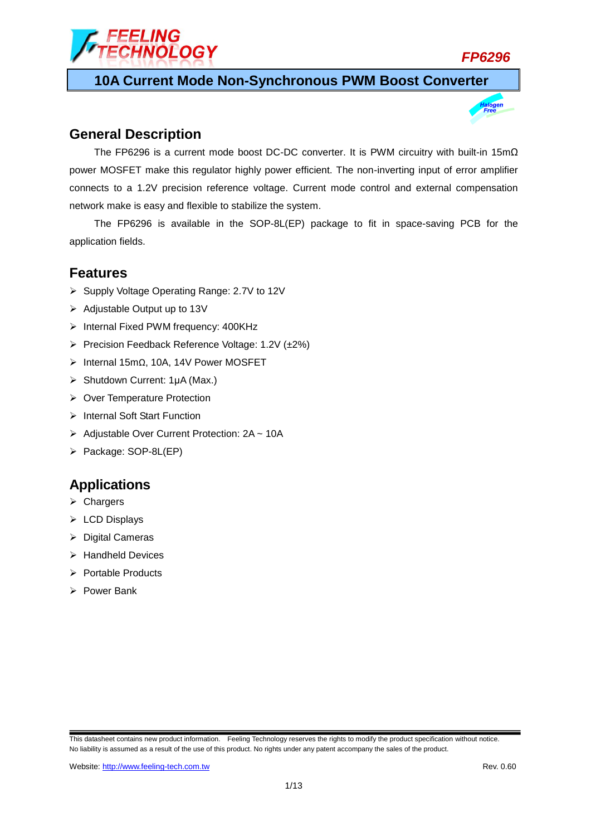

**10A Current Mode Non-Synchronous PWM Boost Converter**

### **General Description**

The FP6296 is a current mode boost DC-DC converter. It is PWM circuitry with built-in 15mΩ power MOSFET make this regulator highly power efficient. The non-inverting input of error amplifier connects to a 1.2V precision reference voltage. Current mode control and external compensation network make is easy and flexible to stabilize the system.

The FP6296 is available in the SOP-8L(EP) package to fit in space-saving PCB for the application fields.

### **Features**

- ▶ Supply Voltage Operating Range: 2.7V to 12V
- $\triangleright$  Adjustable Output up to 13V
- $\triangleright$  Internal Fixed PWM frequency: 400KHz
- $\triangleright$  Precision Feedback Reference Voltage: 1.2V ( $\pm$ 2%)
- Internal 15mΩ, 10A, 14V Power MOSFET
- Shutdown Current: 1μA (Max.)
- **▶ Over Temperature Protection**
- $\triangleright$  Internal Soft Start Function
- ▶ Adjustable Over Current Protection: 2A ~ 10A
- Package: SOP-8L(EP)

### **Applications**

- **≻** Chargers
- ▶ LCD Displays
- $\triangleright$  Digital Cameras
- $\triangleright$  Handheld Devices
- $\triangleright$  Portable Products
- $\triangleright$  Power Bank

This datasheet contains new product information. Feeling Technology reserves the rights to modify the product specification without notice. No liability is assumed as a result of the use of this product. No rights under any patent accompany the sales of the product.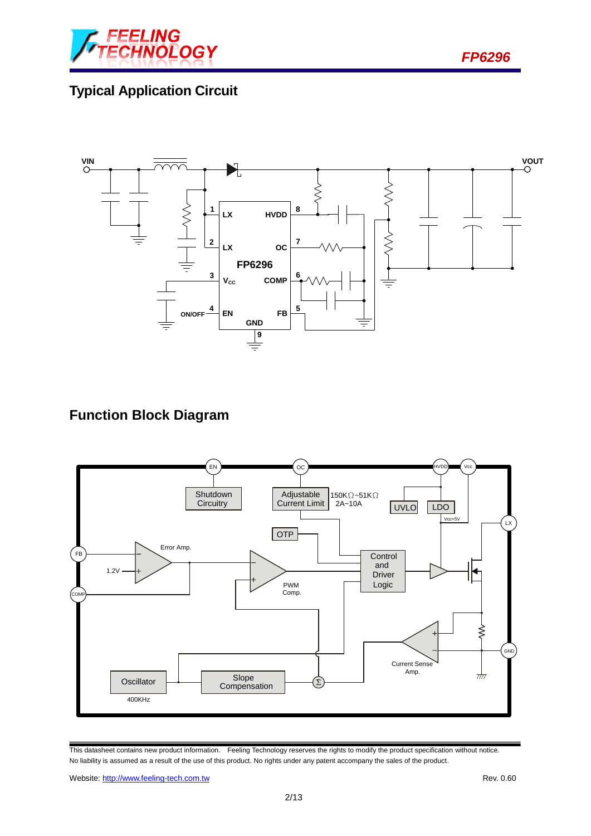

*FP6296*

# **Typical Application Circuit**



## **Function Block Diagram**



This datasheet contains new product information. Feeling Technology reserves the rights to modify the product specification without notice. No liability is assumed as a result of the use of this product. No rights under any patent accompany the sales of the product.

Website: http://www.feeling-tech.com.tw Rev. 0.60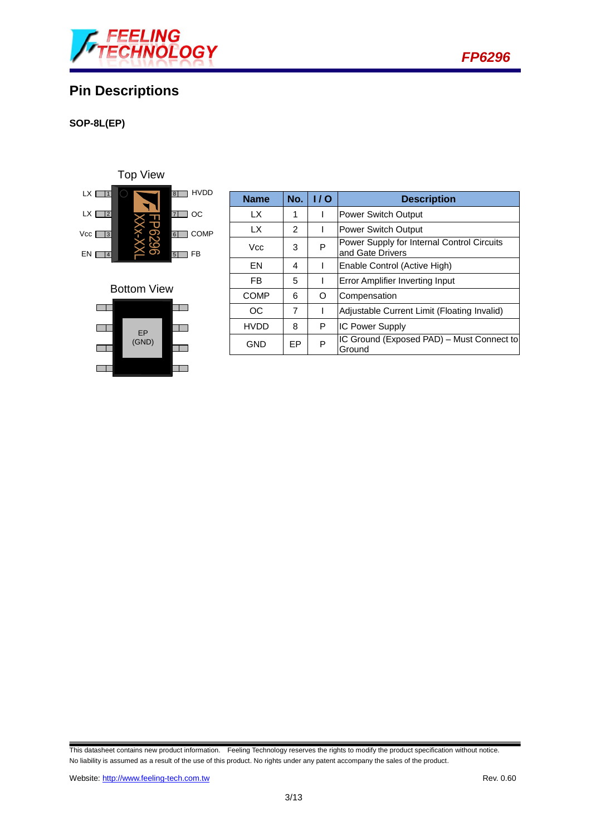

## **Pin Descriptions**

#### **SOP-8L(EP)**

LX  $\boxed{1}$  $LX \Box 2$ Vcc  $\Box$ 3 <sup>4</sup> <sup>8</sup> 7 OC 6 COMP  $5$  FB 8 HVDD  $EN$   $4$ FB FP6296 XXx-XXL Top View

#### Bottom View



| <b>Name</b> | No.       | 110 | <b>Description</b>                                             |  |
|-------------|-----------|-----|----------------------------------------------------------------|--|
| LX.         | 1         |     | <b>Power Switch Output</b>                                     |  |
| LX          | 2         |     | <b>Power Switch Output</b>                                     |  |
| Vcc         | 3         | P   | Power Supply for Internal Control Circuits<br>and Gate Drivers |  |
| FN          | 4         |     | Enable Control (Active High)                                   |  |
| <b>FB</b>   | 5         |     | <b>Error Amplifier Inverting Input</b>                         |  |
| <b>COMP</b> | 6         | O   | Compensation                                                   |  |
| OC          | 7         |     | Adjustable Current Limit (Floating Invalid)                    |  |
| <b>HVDD</b> | 8         | P   | <b>IC Power Supply</b>                                         |  |
| GND         | <b>FP</b> | P   | IC Ground (Exposed PAD) - Must Connect to<br>Ground            |  |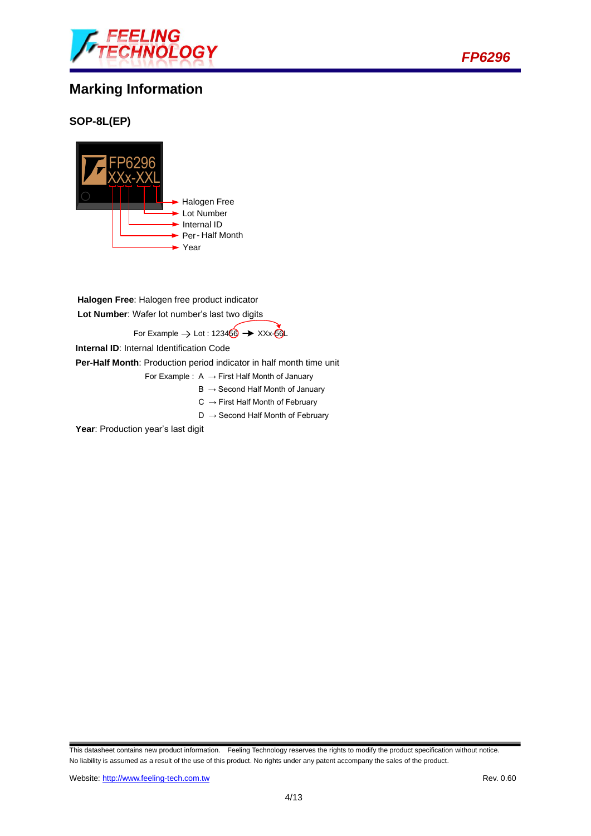

## **Marking Information**



### **SOP-8L(EP)**



**Halogen Free**: Halogen free product indicator **Lot Number**: Wafer lot number's last two digits

For Example  $\rightarrow$  Lot : 123466  $\rightarrow$  XXx-66L

**Internal ID**: Internal Identification Code

**Per-Half Month**: Production period indicator in half month time unit

- For Example :  $A \rightarrow$  First Half Month of January
	- $B \rightarrow$  Second Half Month of January
	- $C \rightarrow$  First Half Month of February
	- $D \rightarrow$  Second Half Month of February

Year: Production year's last digit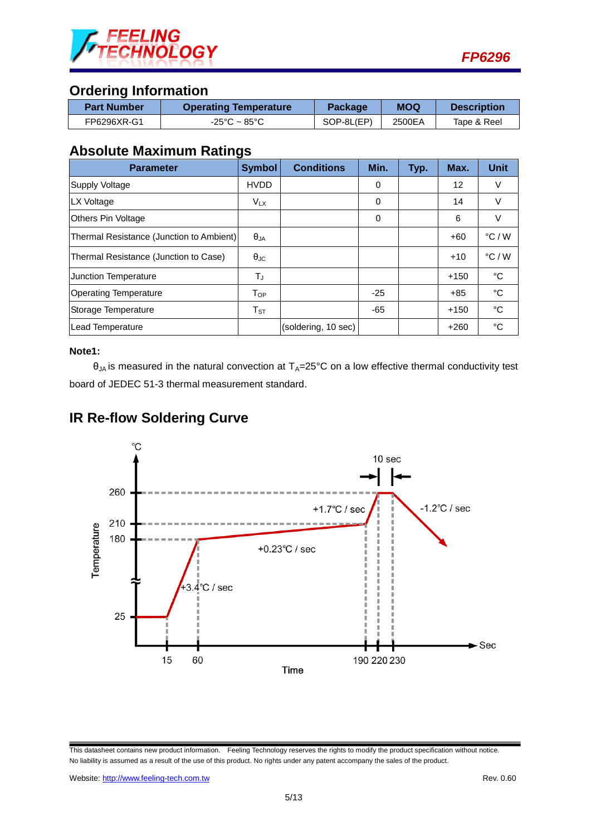

### **Ordering Information**

| <b>Part Number</b> | <b>Operating Temperature</b> | Package    | <b>MOQ</b> | <b>Description</b> |
|--------------------|------------------------------|------------|------------|--------------------|
| FP6296XR-G1        | -25°C ~ 85°C                 | SOP-8L(EP) | 2500EA     | Tape & Reel        |

### **Absolute Maximum Ratings**

| <b>Parameter</b>                         | <b>Symbol</b>              | <b>Conditions</b>   | Min.     | Typ. | Max.   | Unit            |
|------------------------------------------|----------------------------|---------------------|----------|------|--------|-----------------|
| Supply Voltage                           | <b>HVDD</b>                |                     | 0        |      | 12     | V               |
| LX Voltage                               | $V_{LX}$                   |                     | $\Omega$ |      | 14     | V               |
| Others Pin Voltage                       |                            |                     | $\Omega$ |      | 6      | V               |
| Thermal Resistance (Junction to Ambient) | $\theta_{JA}$              |                     |          |      | $+60$  | $\degree$ C / W |
| Thermal Resistance (Junction to Case)    | $\theta_{\rm JC}$          |                     |          |      | $+10$  | $\degree$ C / W |
| Junction Temperature                     | TJ                         |                     |          |      | $+150$ | °C              |
| <b>Operating Temperature</b>             | Top                        |                     | $-25$    |      | $+85$  | °C              |
| Storage Temperature                      | $\mathsf{T}_{\texttt{ST}}$ |                     | -65      |      | $+150$ | °C              |
| Lead Temperature                         |                            | (soldering, 10 sec) |          |      | $+260$ | °C              |

#### **Note1:**

 $\theta_{JA}$  is measured in the natural convection at  $T_A=25^{\circ}C$  on a low effective thermal conductivity test board of JEDEC 51-3 thermal measurement standard.



# **IR Re-flow Soldering Curve**

This datasheet contains new product information. Feeling Technology reserves the rights to modify the product specification without notice. No liability is assumed as a result of the use of this product. No rights under any patent accompany the sales of the product.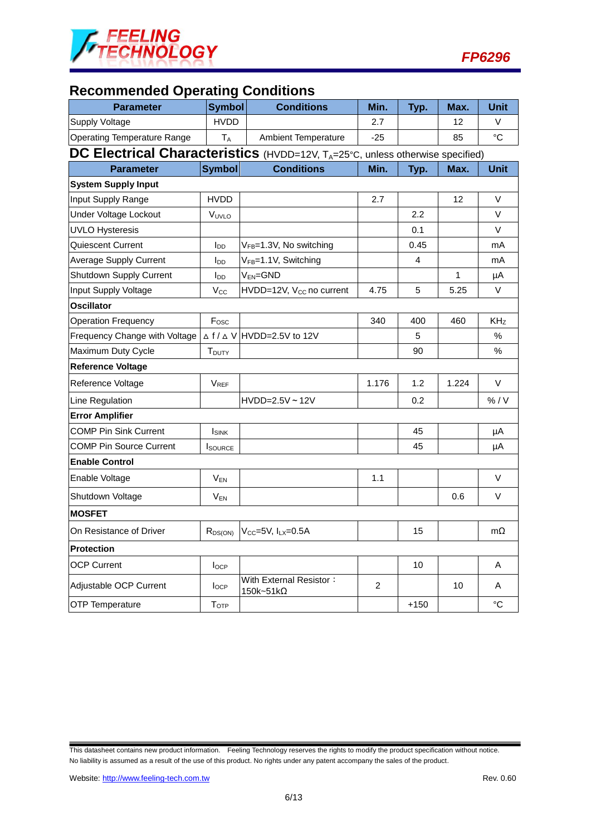

# **Recommended Operating Conditions**

| <b>Parameter</b>                                                              | <b>Symbol</b>             | <b>Conditions</b>                    | Min.  | Typ.   | Max.  | Unit            |  |
|-------------------------------------------------------------------------------|---------------------------|--------------------------------------|-------|--------|-------|-----------------|--|
| <b>Supply Voltage</b>                                                         | <b>HVDD</b>               |                                      | 2.7   |        | 12    | V               |  |
| <b>Operating Temperature Range</b>                                            | <b>TA</b>                 | <b>Ambient Temperature</b>           | $-25$ |        | 85    | $^{\circ}C$     |  |
| DC Electrical Characteristics (HVDD=12V, TA=25°C, unless otherwise specified) |                           |                                      |       |        |       |                 |  |
| <b>Parameter</b>                                                              | <b>Symbol</b>             | <b>Conditions</b>                    | Min.  | Typ.   | Max.  | <b>Unit</b>     |  |
| <b>System Supply Input</b>                                                    |                           |                                      |       |        |       |                 |  |
| Input Supply Range                                                            | <b>HVDD</b>               |                                      | 2.7   |        | 12    | V               |  |
| Under Voltage Lockout                                                         | VUVLO                     |                                      |       | 2.2    |       | $\vee$          |  |
| <b>UVLO Hysteresis</b>                                                        |                           |                                      |       | 0.1    |       | V               |  |
| Quiescent Current                                                             | l <sub>DD</sub>           | VFB=1.3V, No switching               |       | 0.45   |       | mA              |  |
| <b>Average Supply Current</b>                                                 | <b>I</b> <sub>DD</sub>    | V <sub>FB</sub> =1.1V, Switching     |       | 4      |       | mA              |  |
| Shutdown Supply Current                                                       | l <sub>DD</sub>           | $V_{EN}$ =GND                        |       |        | 1     | μA              |  |
| Input Supply Voltage                                                          | $V_{\rm CC}$              | HVDD=12V, V <sub>CC</sub> no current | 4.75  | 5      | 5.25  | V               |  |
| <b>Oscillator</b>                                                             |                           |                                      |       |        |       |                 |  |
| <b>Operation Frequency</b>                                                    | F <sub>osc</sub>          |                                      | 340   | 400    | 460   | KH <sub>Z</sub> |  |
| Frequency Change with Voltage                                                 | $\triangle f/\triangle V$ | HVDD=2.5V to 12V                     |       | 5      |       | %               |  |
| Maximum Duty Cycle                                                            | T <sub>DUTY</sub>         |                                      |       | 90     |       | $\%$            |  |
| <b>Reference Voltage</b>                                                      |                           |                                      |       |        |       |                 |  |
| Reference Voltage                                                             | $V_{REF}$                 |                                      | 1.176 | 1.2    | 1.224 | $\vee$          |  |
| Line Regulation                                                               |                           | $HVDD=2.5V \sim 12V$                 |       | 0.2    |       | % / V           |  |
| <b>Error Amplifier</b>                                                        |                           |                                      |       |        |       |                 |  |
| <b>COMP Pin Sink Current</b>                                                  | <b>I</b> SINK             |                                      |       | 45     |       | μA              |  |
| <b>COMP Pin Source Current</b>                                                | <b>I</b> SOURCE           |                                      |       | 45     |       | μA              |  |
| <b>Enable Control</b>                                                         |                           |                                      |       |        |       |                 |  |
| Enable Voltage                                                                | $\mathsf{V}_\mathsf{EN}$  |                                      | 1.1   |        |       | V               |  |
| Shutdown Voltage                                                              | $V_{EN}$                  |                                      |       |        | 0.6   | V               |  |
| <b>MOSFET</b>                                                                 |                           |                                      |       |        |       |                 |  |
| On Resistance of Driver                                                       | $R_{DS(ON)}$              | $V_{CC} = 5V$ , $I_{LX} = 0.5A$      |       | 15     |       | mΩ              |  |
| <b>Protection</b>                                                             |                           |                                      |       |        |       |                 |  |
| <b>OCP Current</b>                                                            | $I_{OCP}$                 |                                      |       | 10     |       | Α               |  |
| Adjustable OCP Current                                                        | $I_{OCP}$                 | With External Resistor:<br>150k~51kΩ | 2     |        | 10    | Α               |  |
| <b>OTP Temperature</b>                                                        | T <sub>OTP</sub>          |                                      |       | $+150$ |       | $\rm ^{\circ}C$ |  |

This datasheet contains new product information. Feeling Technology reserves the rights to modify the product specification without notice. No liability is assumed as a result of the use of this product. No rights under any patent accompany the sales of the product.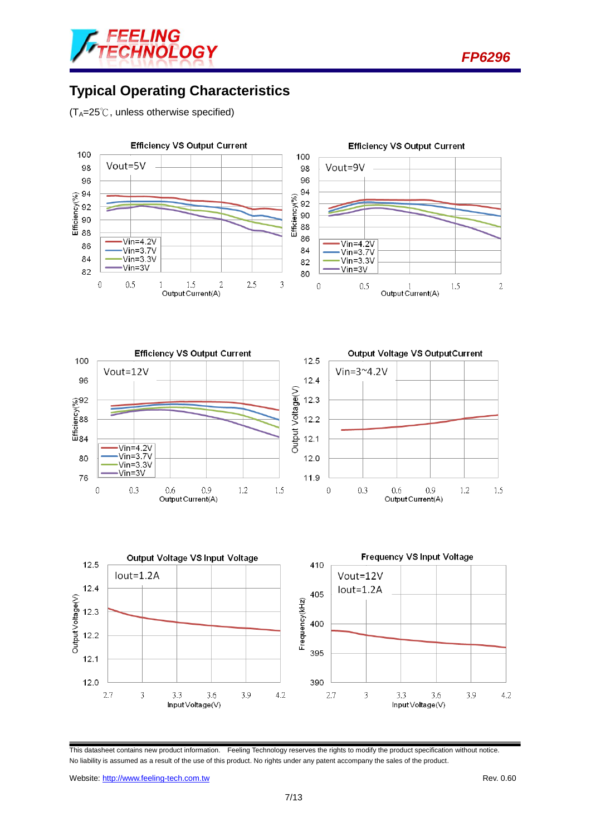

*FP6296*

## **Typical Operating Characteristics**

 $(T_A=25^\circ\text{C}$ , unless otherwise specified)



This datasheet contains new product information. Feeling Technology reserves the rights to modify the product specification without notice. No liability is assumed as a result of the use of this product. No rights under any patent accompany the sales of the product.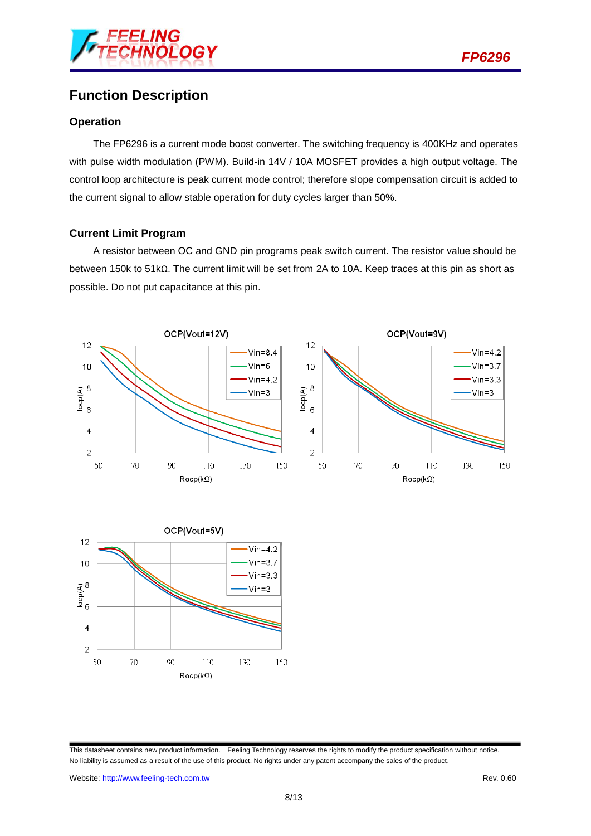

## **Function Description**

#### **Operation**

The FP6296 is a current mode boost converter. The switching frequency is 400KHz and operates with pulse width modulation (PWM). Build-in 14V / 10A MOSFET provides a high output voltage. The control loop architecture is peak current mode control; therefore slope compensation circuit is added to the current signal to allow stable operation for duty cycles larger than 50%.

#### **Current Limit Program**

A resistor between OC and GND pin programs peak switch current. The resistor value should be between 150k to 51kΩ. The current limit will be set from 2A to 10A. Keep traces at this pin as short as possible. Do not put capacitance at this pin.





Website: http://www.feeling-tech.com.tw **Rev. 0.60 Rev. 0.60** 

This datasheet contains new product information. Feeling Technology reserves the rights to modify the product specification without notice. No liability is assumed as a result of the use of this product. No rights under any patent accompany the sales of the product.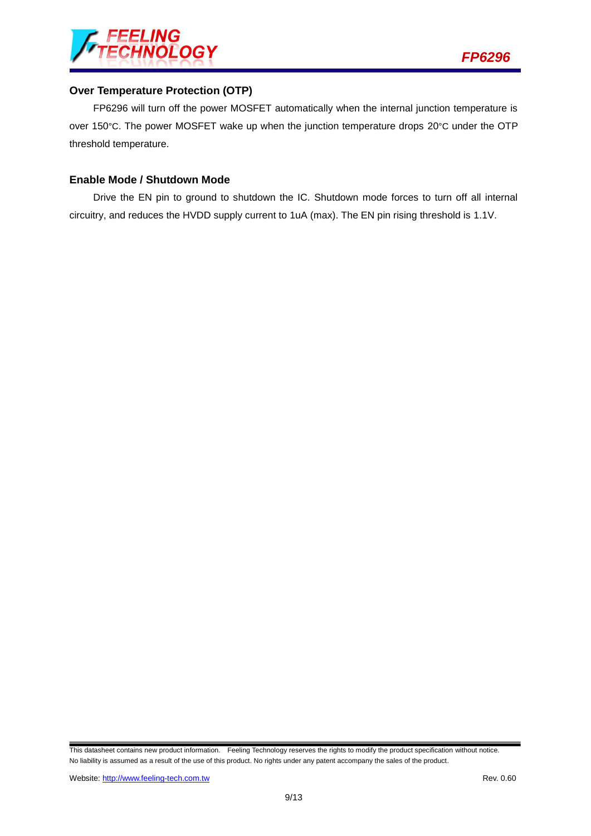

#### **Over Temperature Protection (OTP)**

FP6296 will turn off the power MOSFET automatically when the internal junction temperature is over 150°C. The power MOSFET wake up when the junction temperature drops 20°C under the OTP threshold temperature.

#### **Enable Mode / Shutdown Mode**

Drive the EN pin to ground to shutdown the IC. Shutdown mode forces to turn off all internal circuitry, and reduces the HVDD supply current to 1uA (max). The EN pin rising threshold is 1.1V.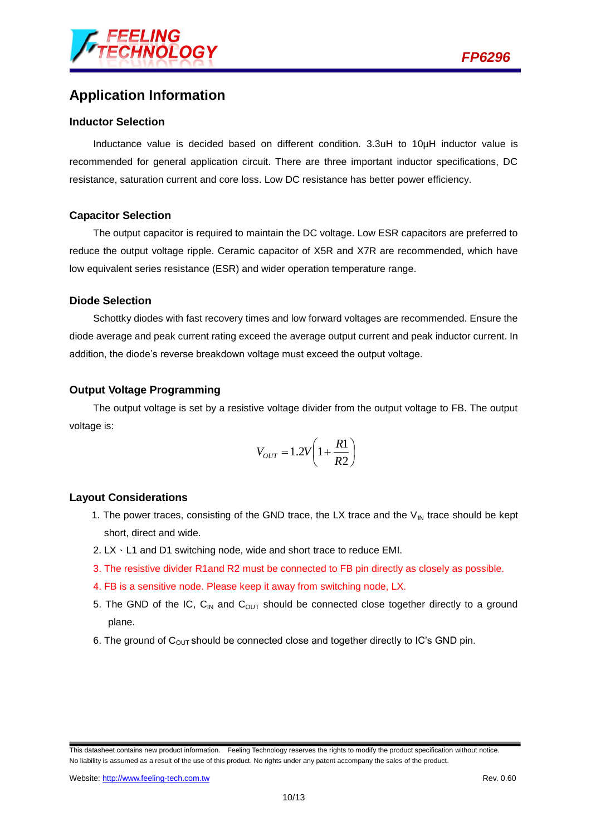

## **Application Information**

#### **Inductor Selection**

Inductance value is decided based on different condition. 3.3uH to 10µH inductor value is recommended for general application circuit. There are three important inductor specifications, DC resistance, saturation current and core loss. Low DC resistance has better power efficiency.

#### **Capacitor Selection**

The output capacitor is required to maintain the DC voltage. Low ESR capacitors are preferred to reduce the output voltage ripple. Ceramic capacitor of X5R and X7R are recommended, which have low equivalent series resistance (ESR) and wider operation temperature range.

#### **Diode Selection**

Schottky diodes with fast recovery times and low forward voltages are recommended. Ensure the diode average and peak current rating exceed the average output current and peak inductor current. In addition, the diode's reverse breakdown voltage must exceed the output voltage.

#### **Output Voltage Programming**

The output voltage is set by a resistive voltage divider from the output voltage to FB. The output voltage is:

$$
V_{OUT} = 1.2V \left(1 + \frac{R1}{R2}\right)
$$

#### **Layout Considerations**

- 1. The power traces, consisting of the GND trace, the LX trace and the  $V_{IN}$  trace should be kept short, direct and wide.
- 2. LX、L1 and D1 switching node, wide and short trace to reduce EMI.
- 3. The resistive divider R1and R2 must be connected to FB pin directly as closely as possible.
- 4. FB is a sensitive node. Please keep it away from switching node, LX.
- 5. The GND of the IC,  $C_{IN}$  and  $C_{OUT}$  should be connected close together directly to a ground plane.
- 6. The ground of  $C<sub>OUT</sub>$  should be connected close and together directly to IC's GND pin.

This datasheet contains new product information. Feeling Technology reserves the rights to modify the product specification without notice. No liability is assumed as a result of the use of this product. No rights under any patent accompany the sales of the product.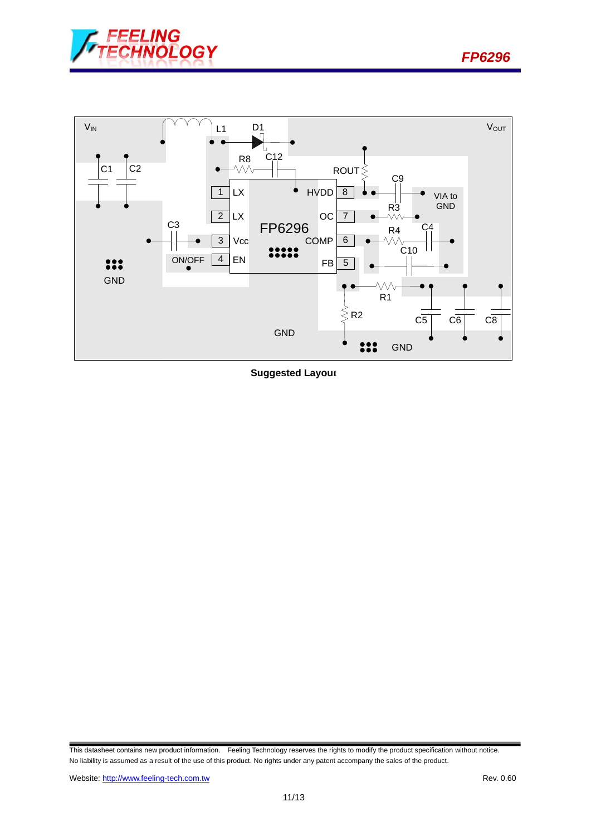





**Suggested Layout**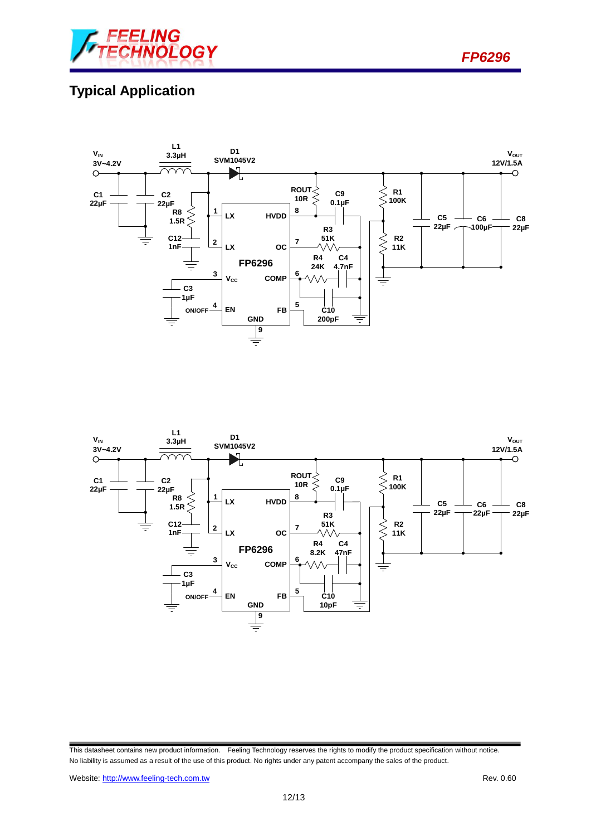

*FP6296*

# **Typical Application**





This datasheet contains new product information. Feeling Technology reserves the rights to modify the product specification without notice. No liability is assumed as a result of the use of this product. No rights under any patent accompany the sales of the product.